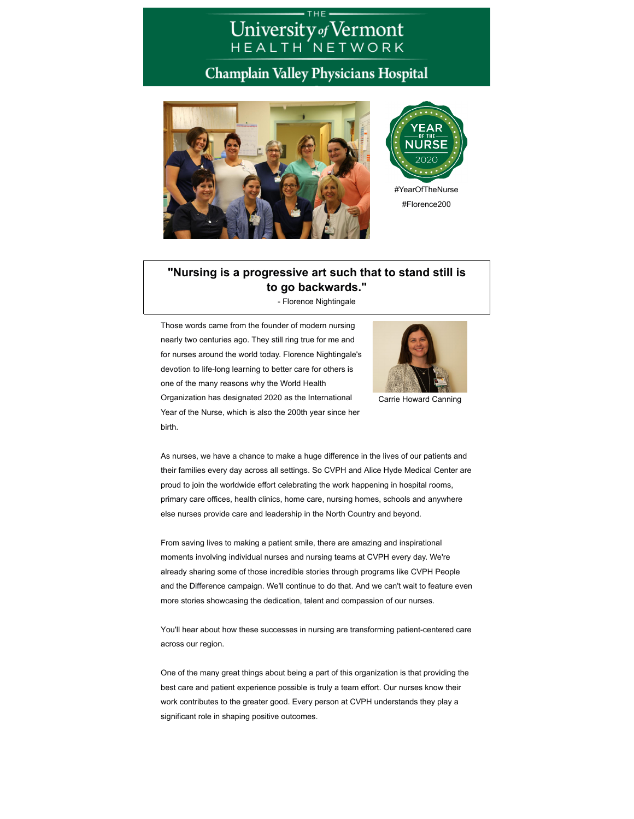## University of Vermont<br>HEALTH NETWORK

## Champlain Valley Physicians Hospital





#Florence200

## **"Nursing is a progressive art such that to stand still is to go backwards."**

- Florence Nightingale

Those words came from the founder of modern nursing nearly two centuries ago. They still ring true for me and for nurses around the world today. Florence Nightingale's devotion to life-long learning to better care for others is one of the many reasons why the World Health Organization has designated 2020 as the International Year of the Nurse, which is also the 200th year since her birth.



Carrie Howard Canning

As nurses, we have a chance to make a huge difference in the lives of our patients and their families every day across all settings. So CVPH and Alice Hyde Medical Center are proud to join the worldwide effort celebrating the work happening in hospital rooms, primary care offices, health clinics, home care, nursing homes, schools and anywhere else nurses provide care and leadership in the North Country and beyond.

From saving lives to making a patient smile, there are amazing and inspirational moments involving individual nurses and nursing teams at CVPH every day. We're already sharing some of those incredible stories through programs like CVPH People and the Difference campaign. We'll continue to do that. And we can't wait to feature even more stories showcasing the dedication, talent and compassion of our nurses.

You'll hear about how these successes in nursing are transforming patient-centered care across our region.

One of the many great things about being a part of this organization is that providing the best care and patient experience possible is truly a team effort. Our nurses know their work contributes to the greater good. Every person at CVPH understands they play a significant role in shaping positive outcomes.